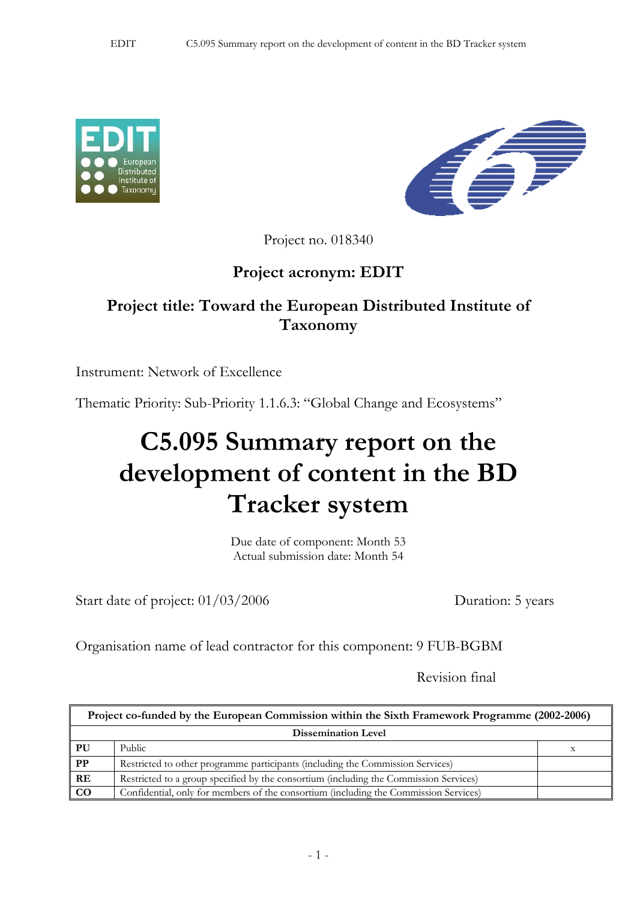



Project no. 018340

## **Project acronym: EDIT**

## **Project title: Toward the European Distributed Institute of Taxonomy**

Instrument: Network of Excellence

Thematic Priority: Sub-Priority 1.1.6.3: "Global Change and Ecosystems"

## **C5.095 Summary report on the development of content in the BD Tracker system**

Due date of component: Month 53 Actual submission date: Month 54

Start date of project:  $01/03/2006$  Duration: 5 years

Organisation name of lead contractor for this component: 9 FUB-BGBM

Revision final

| Project co-funded by the European Commission within the Sixth Framework Programme (2002-2006) |                                                                                       |  |
|-----------------------------------------------------------------------------------------------|---------------------------------------------------------------------------------------|--|
| <b>Dissemination Level</b>                                                                    |                                                                                       |  |
| PU <sub>1</sub>                                                                               | Public                                                                                |  |
| $\overline{PP}$                                                                               | Restricted to other programme participants (including the Commission Services)        |  |
| RE                                                                                            | Restricted to a group specified by the consortium (including the Commission Services) |  |
| $\overline{c}$                                                                                | Confidential, only for members of the consortium (including the Commission Services)  |  |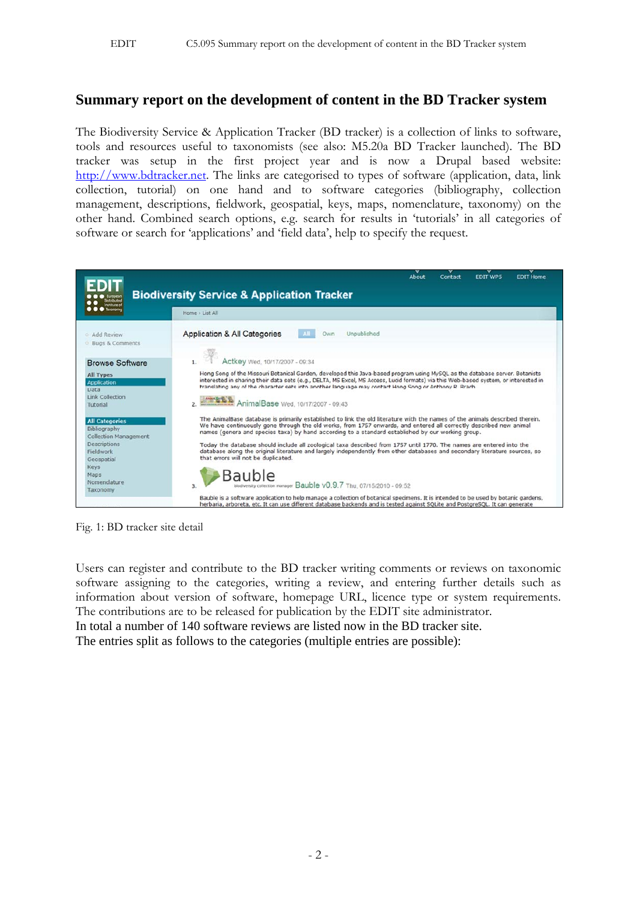## **Summary report on the development of content in the BD Tracker system**

The Biodiversity Service & Application Tracker (BD tracker) is a collection of links to software, tools and resources useful to taxonomists (see also: M5.20a BD Tracker launched). The BD tracker was setup in the first project year and is now a Drupal based website: http://www.bdtracker.net. The links are categorised to types of software (application, data, link collection, tutorial) on one hand and to software categories (bibliography, collection management, descriptions, fieldwork, geospatial, keys, maps, nomenclature, taxonomy) on the other hand. Combined search options, e.g. search for results in 'tutorials' in all categories of software or search for 'applications' and 'field data', help to specify the request.

| nstitute of                                                           | About<br><b>EDIT WPS</b><br><b>EDIT Home</b><br>Contact<br><b>Biodiversity Service &amp; Application Tracker</b>                                                                                                                                                                                                                                                             |
|-----------------------------------------------------------------------|------------------------------------------------------------------------------------------------------------------------------------------------------------------------------------------------------------------------------------------------------------------------------------------------------------------------------------------------------------------------------|
| <b>Taxonom</b>                                                        | Home > List All                                                                                                                                                                                                                                                                                                                                                              |
| Add Review<br>Bugs & Comments                                         | <b>Application &amp; All Categories</b><br>Unpublished<br>Own                                                                                                                                                                                                                                                                                                                |
| <b>Browse Software</b>                                                | Actkey Wed, 10/17/2007 - 09:34                                                                                                                                                                                                                                                                                                                                               |
| <b>All Types</b><br><b>Application</b><br>Data                        | Hong Song of the Missouri Botanical Garden, developed this Java-based program using MySQL as the database server. Botanists<br>interested in sharing their data sets (e.g., DELTA, MS Excel, MS Access, Lucid formats) via this Web-based system, or interested in<br>translating any of the character sets into another language may contact Hong Song or Anthony R. Brach. |
| Link Collection<br>Tutorial                                           | AnimalBase Wed, 10/17/2007 - 09:43                                                                                                                                                                                                                                                                                                                                           |
| <b>All Categories</b><br>Bibliography<br><b>Collection Management</b> | The AnimalBase database is primarily established to link the old literature with the names of the animals described therein.<br>We have continuously gone through the old works, from 1757 onwards, and entered all correctly described new animal<br>names (genera and species taxa) by hand according to a standard established by our working group.                      |
| <b>Descriptions</b><br>Fieldwork<br>Geospatial                        | Today the database should include all zoological taxa described from 1757 until 1770. The names are entered into the<br>database along the original literature and largely independently from other databases and secondary literature sources, so<br>that errors will not be duplicated.                                                                                    |
| <b>Keys</b><br>Maps<br>Nomenclature<br>Taxonomy                       | Bauble<br>biodiversity collection manager Bauble v0.9.7 Thu, 07/15/2010 - 09:52<br>3.                                                                                                                                                                                                                                                                                        |
|                                                                       | Bauble is a software application to help manage a collection of botanical specimens. It is intended to be used by botanic gardens,<br>herbaria, arboreta, etc. It can use different database backends and is tested against SOLite and PostgreSOL. It can generate                                                                                                           |

Fig. 1: BD tracker site detail

Users can register and contribute to the BD tracker writing comments or reviews on taxonomic software assigning to the categories, writing a review, and entering further details such as information about version of software, homepage URL, licence type or system requirements. The contributions are to be released for publication by the EDIT site administrator. In total a number of 140 software reviews are listed now in the BD tracker site.

The entries split as follows to the categories (multiple entries are possible):